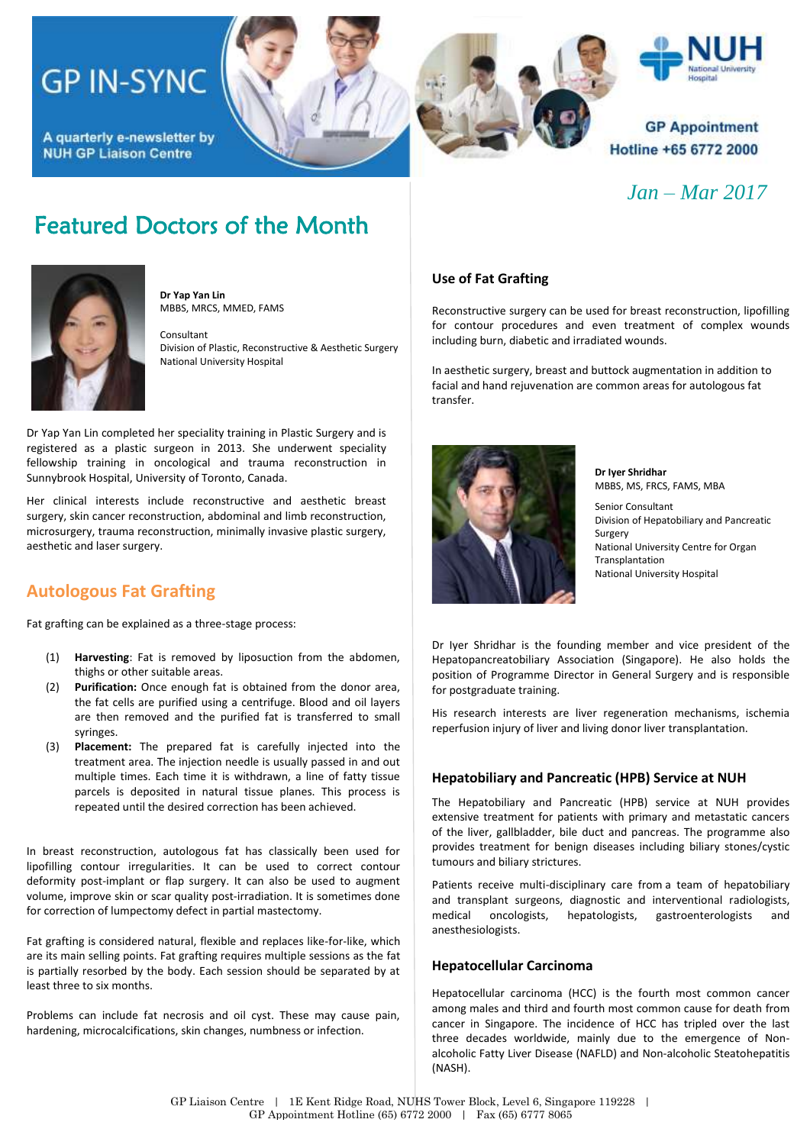# **GP IN-SYNC**

A quarterly e-newsletter by **NUH GP Liaison Centre** 







**GP Appointment** Hotline +65 6772 2000

*Jan – Mar 2017*

## Featured Doctors of the Month



**Dr Yap Yan Lin** MBBS, MRCS, MMED, FAMS

Consultant Division of Plastic, Reconstructive & Aesthetic Surgery National University Hospital

Dr Yap Yan Lin completed her speciality training in Plastic Surgery and is registered as a plastic surgeon in 2013. She underwent speciality fellowship training in oncological and trauma reconstruction in Sunnybrook Hospital, University of Toronto, Canada.

Her clinical interests include reconstructive and aesthetic breast surgery, skin cancer reconstruction, abdominal and limb reconstruction, microsurgery, trauma reconstruction, minimally invasive plastic surgery, aesthetic and laser surgery.

### **Autologous Fat Grafting**

Fat grafting can be explained as a three-stage process:

- (1) **Harvesting**: Fat is removed by liposuction from the abdomen, thighs or other suitable areas.
- (2) **Purification:** Once enough fat is obtained from the donor area, the fat cells are purified using a centrifuge. Blood and oil layers are then removed and the purified fat is transferred to small syringes.
- (3) **Placement:** The prepared fat is carefully injected into the treatment area. The injection needle is usually passed in and out multiple times. Each time it is withdrawn, a line of fatty tissue parcels is deposited in natural tissue planes. This process is repeated until the desired correction has been achieved.

In breast reconstruction, autologous fat has classically been used for lipofilling contour irregularities. It can be used to correct contour deformity post-implant or flap surgery. It can also be used to augment volume, improve skin or scar quality post-irradiation. It is sometimes done for correction of lumpectomy defect in partial mastectomy.

Fat grafting is considered natural, flexible and replaces like-for-like, which are its main selling points. Fat grafting requires multiple sessions as the fat is partially resorbed by the body. Each session should be separated by at least three to six months.

Problems can include fat necrosis and oil cyst. These may cause pain, hardening, microcalcifications, skin changes, numbness or infection.

#### **Use of Fat Grafting**

Reconstructive surgery can be used for breast reconstruction, lipofilling for contour procedures and even treatment of complex wounds including burn, diabetic and irradiated wounds.

In aesthetic surgery, breast and buttock augmentation in addition to facial and hand rejuvenation are common areas for autologous fat transfer.



**Dr Iyer Shridhar** MBBS, MS, FRCS, FAMS, MBA Senior Consultant Division of Hepatobiliary and Pancreatic Surgery

National University Centre for Organ Transplantation National University Hospital

Dr Iyer Shridhar is the founding member and vice president of the Hepatopancreatobiliary Association (Singapore). He also holds the position of Programme Director in General Surgery and is responsible for postgraduate training.

His research interests are liver regeneration mechanisms, ischemia reperfusion injury of liver and living donor liver transplantation.

#### **Hepatobiliary and Pancreatic (HPB) Service at NUH**

The Hepatobiliary and Pancreatic (HPB) service at NUH provides extensive treatment for patients with primary and metastatic cancers of the liver, gallbladder, bile duct and pancreas. The programme also provides treatment for benign diseases including biliary stones/cystic tumours and biliary strictures.

Patients receive multi-disciplinary care from a team of hepatobiliary and transplant surgeons, diagnostic and interventional radiologists, medical oncologists, hepatologists, gastroenterologists and anesthesiologists.

#### **Hepatocellular Carcinoma**

Hepatocellular carcinoma (HCC) is the fourth most common cancer among males and third and fourth most common cause for death from cancer in Singapore. The incidence of HCC has tripled over the last three decades worldwide, mainly due to the emergence of Nonalcoholic Fatty Liver Disease (NAFLD) and Non-alcoholic Steatohepatitis (NASH).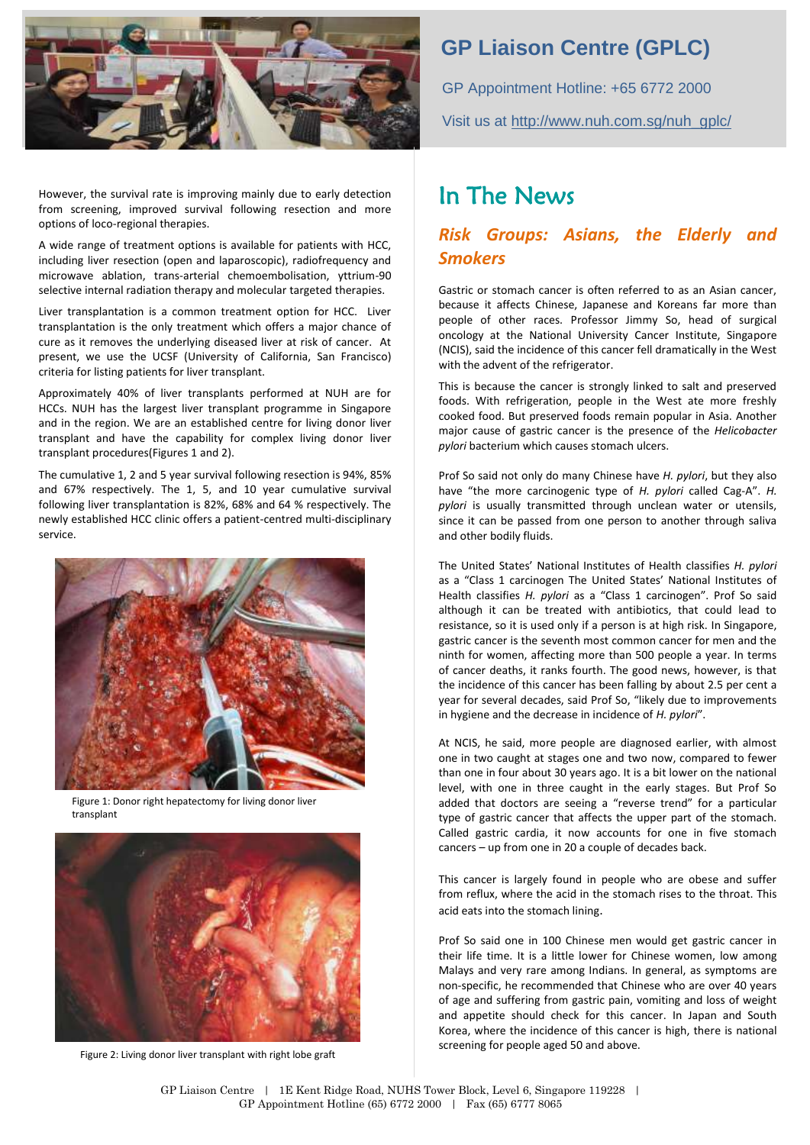

However, the survival rate is improving mainly due to early detection from screening, improved survival following resection and more options of loco-regional therapies.

A wide range of treatment options is available for patients with HCC, including liver resection (open and laparoscopic), radiofrequency and microwave ablation, trans-arterial chemoembolisation, yttrium-90 selective internal radiation therapy and molecular targeted therapies.

Liver transplantation is a common treatment option for HCC. Liver transplantation is the only treatment which offers a major chance of cure as it removes the underlying diseased liver at risk of cancer. At present, we use the UCSF (University of California, San Francisco) criteria for listing patients for liver transplant.

Approximately 40% of liver transplants performed at NUH are for HCCs. NUH has the largest liver transplant programme in Singapore and in the region. We are an established centre for living donor liver transplant and have the capability for complex living donor liver transplant procedures(Figures 1 and 2).

The cumulative 1, 2 and 5 year survival following resection is 94%, 85% and 67% respectively. The 1, 5, and 10 year cumulative survival following liver transplantation is 82%, 68% and 64 % respectively. The newly established HCC clinic offers a patient-centred multi-disciplinary service.



Figure 1: Donor right hepatectomy for living donor liver transplant



Figure 2: Living donor liver transplant with right lobe graft

### **GP Liaison Centre (GPLC)**

GP Appointment Hotline: +65 6772 2000

Visit us at [http://www.nuh.com.sg/nuh\\_gplc/](http://www.nuh.com.sg/nuh_gplc/)

### In The News

### *Risk Groups: Asians, the Elderly and Smokers*

Gastric or stomach cancer is often referred to as an Asian cancer, because it affects Chinese, Japanese and Koreans far more than people of other races. Professor Jimmy So, head of surgical oncology at the National University Cancer Institute, Singapore (NCIS), said the incidence of this cancer fell dramatically in the West with the advent of the refrigerator.

This is because the cancer is strongly linked to salt and preserved foods. With refrigeration, people in the West ate more freshly cooked food. But preserved foods remain popular in Asia. Another major cause of gastric cancer is the presence of the *Helicobacter pylori* bacterium which causes stomach ulcers.

Prof So said not only do many Chinese have *H. pylori*, but they also have "the more carcinogenic type of *H. pylori* called Cag-A". *H. pylori* is usually transmitted through unclean water or utensils, since it can be passed from one person to another through saliva and other bodily fluids.

The United States' National Institutes of Health classifies *H. pylori*  as a "Class 1 carcinogen The United States' National Institutes of Health classifies *H. pylori* as a "Class 1 carcinogen". Prof So said although it can be treated with antibiotics, that could lead to resistance, so it is used only if a person is at high risk. In Singapore, gastric cancer is the seventh most common cancer for men and the ninth for women, affecting more than 500 people a year. In terms of cancer deaths, it ranks fourth. The good news, however, is that the incidence of this cancer has been falling by about 2.5 per cent a year for several decades, said Prof So, "likely due to improvements in hygiene and the decrease in incidence of *H. pylori*".

At NCIS, he said, more people are diagnosed earlier, with almost one in two caught at stages one and two now, compared to fewer than one in four about 30 years ago. It is a bit lower on the national level, with one in three caught in the early stages. But Prof So added that doctors are seeing a "reverse trend" for a particular type of gastric cancer that affects the upper part of the stomach. Called gastric cardia, it now accounts for one in five stomach cancers – up from one in 20 a couple of decades back.

This cancer is largely found in people who are obese and suffer from reflux, where the acid in the stomach rises to the throat. This acid eats into the stomach lining.

Prof So said one in 100 Chinese men would get gastric cancer in their life time. It is a little lower for Chinese women, low among Malays and very rare among Indians. In general, as symptoms are non-specific, he recommended that Chinese who are over 40 years of age and suffering from gastric pain, vomiting and loss of weight and appetite should check for this cancer. In Japan and South Korea, where the incidence of this cancer is high, there is national screening for people aged 50 and above.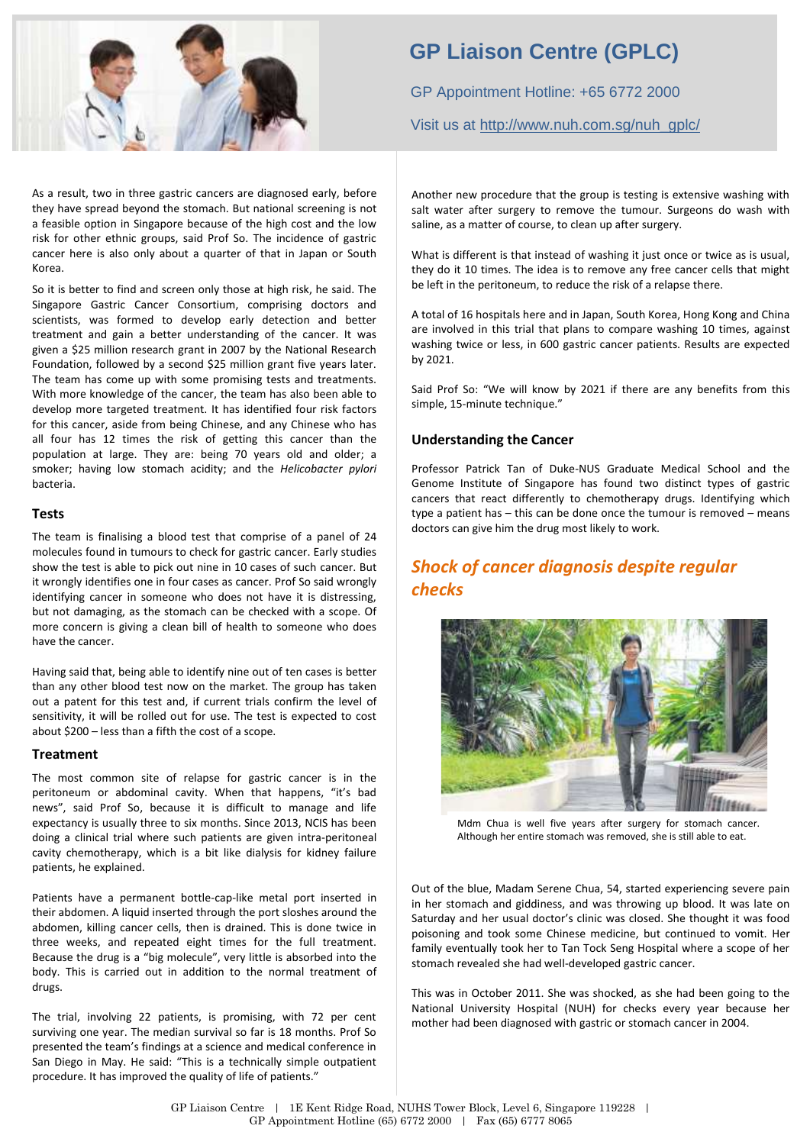

## **GP Liaison Centre (GPLC)**

GP Appointment Hotline: +65 6772 2000

Visit us at [http://www.nuh.com.sg/nuh\\_gplc/](http://www.nuh.com.sg/nuh_gplc/)

As a result, two in three gastric cancers are diagnosed early, before they have spread beyond the stomach. But national screening is not a feasible option in Singapore because of the high cost and the low risk for other ethnic groups, said Prof So. The incidence of gastric cancer here is also only about a quarter of that in Japan or South Korea.

So it is better to find and screen only those at high risk, he said. The Singapore Gastric Cancer Consortium, comprising doctors and scientists, was formed to develop early detection and better treatment and gain a better understanding of the cancer. It was given a \$25 million research grant in 2007 by the National Research Foundation, followed by a second \$25 million grant five years later. The team has come up with some promising tests and treatments. With more knowledge of the cancer, the team has also been able to develop more targeted treatment. It has identified four risk factors for this cancer, aside from being Chinese, and any Chinese who has all four has 12 times the risk of getting this cancer than the population at large. They are: being 70 years old and older; a smoker; having low stomach acidity; and the *Helicobacter pylori*  bacteria.

#### **Tests**

The team is finalising a blood test that comprise of a panel of 24 molecules found in tumours to check for gastric cancer. Early studies show the test is able to pick out nine in 10 cases of such cancer. But it wrongly identifies one in four cases as cancer. Prof So said wrongly identifying cancer in someone who does not have it is distressing, but not damaging, as the stomach can be checked with a scope. Of more concern is giving a clean bill of health to someone who does have the cancer.

Having said that, being able to identify nine out of ten cases is better than any other blood test now on the market. The group has taken out a patent for this test and, if current trials confirm the level of sensitivity, it will be rolled out for use. The test is expected to cost about \$200 – less than a fifth the cost of a scope.

#### **Treatment**

The most common site of relapse for gastric cancer is in the peritoneum or abdominal cavity. When that happens, "it's bad news", said Prof So, because it is difficult to manage and life expectancy is usually three to six months. Since 2013, NCIS has been doing a clinical trial where such patients are given intra-peritoneal cavity chemotherapy, which is a bit like dialysis for kidney failure patients, he explained.

Patients have a permanent bottle-cap-like metal port inserted in their abdomen. A liquid inserted through the port sloshes around the abdomen, killing cancer cells, then is drained. This is done twice in three weeks, and repeated eight times for the full treatment. Because the drug is a "big molecule", very little is absorbed into the body. This is carried out in addition to the normal treatment of drugs.

The trial, involving 22 patients, is promising, with 72 per cent surviving one year. The median survival so far is 18 months. Prof So presented the team's findings at a science and medical conference in San Diego in May. He said: "This is a technically simple outpatient procedure. It has improved the quality of life of patients."

Another new procedure that the group is testing is extensive washing with salt water after surgery to remove the tumour. Surgeons do wash with saline, as a matter of course, to clean up after surgery.

What is different is that instead of washing it just once or twice as is usual, they do it 10 times. The idea is to remove any free cancer cells that might be left in the peritoneum, to reduce the risk of a relapse there.

A total of 16 hospitals here and in Japan, South Korea, Hong Kong and China are involved in this trial that plans to compare washing 10 times, against washing twice or less, in 600 gastric cancer patients. Results are expected by 2021.

Said Prof So: "We will know by 2021 if there are any benefits from this simple, 15-minute technique."

#### **Understanding the Cancer**

Professor Patrick Tan of Duke-NUS Graduate Medical School and the Genome Institute of Singapore has found two distinct types of gastric cancers that react differently to chemotherapy drugs. Identifying which type a patient has – this can be done once the tumour is removed – means doctors can give him the drug most likely to work.

### *Shock of cancer diagnosis despite regular checks*



Mdm Chua is well five years after surgery for stomach cancer. Although her entire stomach was removed, she is still able to eat.

Out of the blue, Madam Serene Chua, 54, started experiencing severe pain in her stomach and giddiness, and was throwing up blood. It was late on Saturday and her usual doctor's clinic was closed. She thought it was food poisoning and took some Chinese medicine, but continued to vomit. Her family eventually took her to Tan Tock Seng Hospital where a scope of her stomach revealed she had well-developed gastric cancer.

This was in October 2011. She was shocked, as she had been going to the National University Hospital (NUH) for checks every year because her mother had been diagnosed with gastric or stomach cancer in 2004.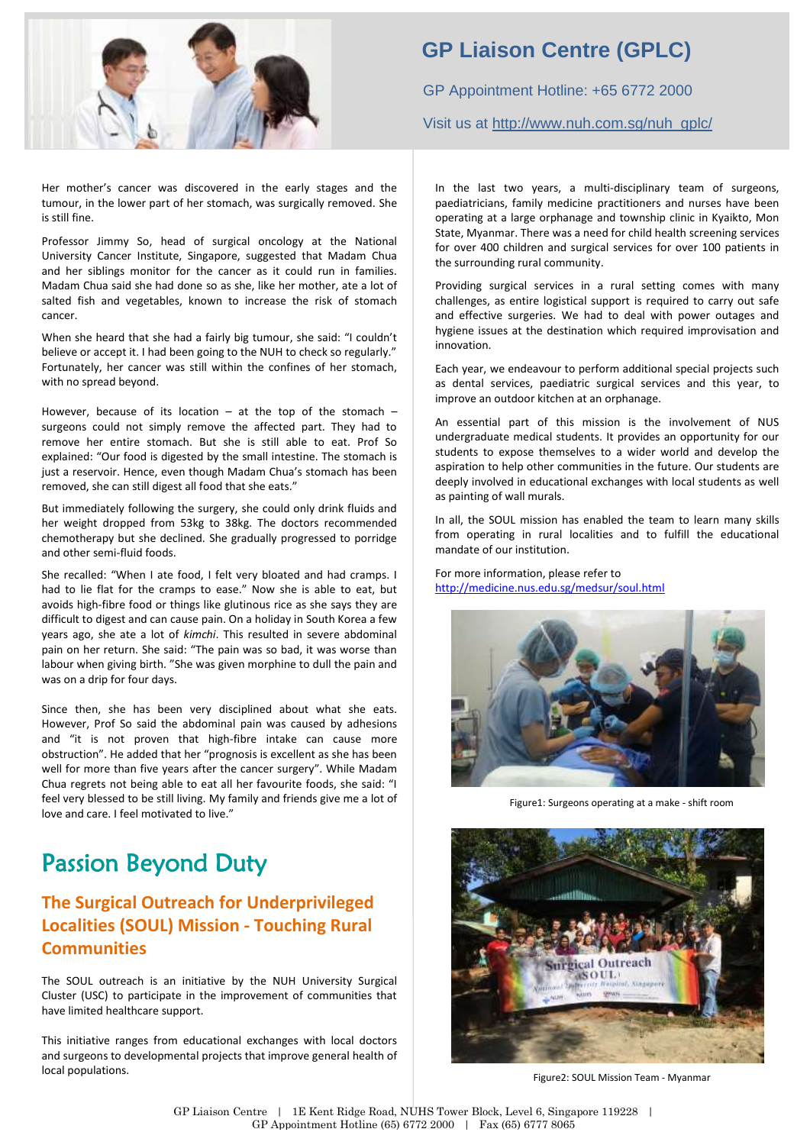

## **GP Liaison Centre (GPLC)**

GP Appointment Hotline: +65 6772 2000

Visit us at [http://www.nuh.com.sg/nuh\\_gplc/](http://www.nuh.com.sg/nuh_gplc/)

Her mother's cancer was discovered in the early stages and the tumour, in the lower part of her stomach, was surgically removed. She is still fine.

Professor Jimmy So, head of surgical oncology at the National University Cancer Institute, Singapore, suggested that Madam Chua and her siblings monitor for the cancer as it could run in families. Madam Chua said she had done so as she, like her mother, ate a lot of salted fish and vegetables, known to increase the risk of stomach cancer.

When she heard that she had a fairly big tumour, she said: "I couldn't believe or accept it. I had been going to the NUH to check so regularly." Fortunately, her cancer was still within the confines of her stomach, with no spread beyond.

However, because of its location  $-$  at the top of the stomach  $\cdot$ surgeons could not simply remove the affected part. They had to remove her entire stomach. But she is still able to eat. Prof So explained: "Our food is digested by the small intestine. The stomach is just a reservoir. Hence, even though Madam Chua's stomach has been removed, she can still digest all food that she eats."

But immediately following the surgery, she could only drink fluids and her weight dropped from 53kg to 38kg. The doctors recommended chemotherapy but she declined. She gradually progressed to porridge and other semi-fluid foods.

She recalled: "When I ate food, I felt very bloated and had cramps. I had to lie flat for the cramps to ease." Now she is able to eat, but avoids high-fibre food or things like glutinous rice as she says they are difficult to digest and can cause pain. On a holiday in South Korea a few years ago, she ate a lot of *kimchi*. This resulted in severe abdominal pain on her return. She said: "The pain was so bad, it was worse than labour when giving birth. "She was given morphine to dull the pain and was on a drip for four days.

Since then, she has been very disciplined about what she eats. However, Prof So said the abdominal pain was caused by adhesions and "it is not proven that high-fibre intake can cause more obstruction". He added that her "prognosis is excellent as she has been well for more than five years after the cancer surgery". While Madam Chua regrets not being able to eat all her favourite foods, she said: "I feel very blessed to be still living. My family and friends give me a lot of love and care. I feel motivated to live."

## Passion Beyond Duty

### **The Surgical Outreach for Underprivileged Localities (SOUL) Mission - Touching Rural Communities**

The SOUL outreach is an initiative by the NUH University Surgical Cluster (USC) to participate in the improvement of communities that have limited healthcare support.

This initiative ranges from educational exchanges with local doctors and surgeons to developmental projects that improve general health of local populations.

In the last two years, a multi-disciplinary team of surgeons, paediatricians, family medicine practitioners and nurses have been operating at a large orphanage and township clinic in Kyaikto, Mon State, Myanmar. There was a need for child health screening services for over 400 children and surgical services for over 100 patients in the surrounding rural community.

Providing surgical services in a rural setting comes with many challenges, as entire logistical support is required to carry out safe and effective surgeries. We had to deal with power outages and hygiene issues at the destination which required improvisation and innovation.

Each year, we endeavour to perform additional special projects such as dental services, paediatric surgical services and this year, to improve an outdoor kitchen at an orphanage.

An essential part of this mission is the involvement of NUS undergraduate medical students. It provides an opportunity for our students to expose themselves to a wider world and develop the aspiration to help other communities in the future. Our students are deeply involved in educational exchanges with local students as well as painting of wall murals.

In all, the SOUL mission has enabled the team to learn many skills from operating in rural localities and to fulfill the educational mandate of our institution.

For more information, please refer to <http://medicine.nus.edu.sg/medsur/soul.html>



Figure1: Surgeons operating at a make - shift room



Figure2: SOUL Mission Team - Myanmar